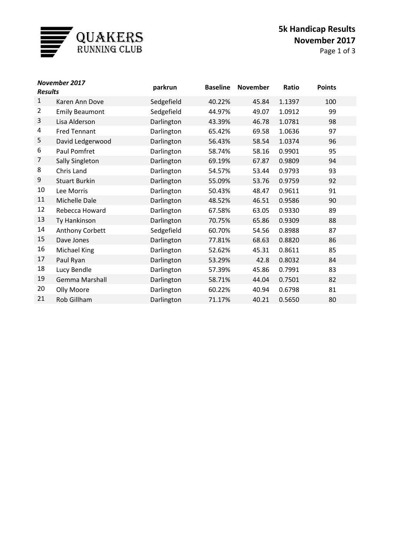

## **5k Handicap Results November 2017**

Page 1 of 3

| November 2017<br><b>Results</b> |                       | <b>Baseline</b><br>parkrun |        | <b>November</b> | Ratio  | <b>Points</b> |
|---------------------------------|-----------------------|----------------------------|--------|-----------------|--------|---------------|
| $\mathbf{1}$                    | Karen Ann Dove        | Sedgefield                 | 40.22% | 45.84           | 1.1397 | 100           |
| $\overline{2}$                  | <b>Emily Beaumont</b> | Sedgefield                 | 44.97% | 49.07           | 1.0912 | 99            |
| 3                               | Lisa Alderson         | Darlington                 | 43.39% | 46.78           | 1.0781 | 98            |
| 4                               | <b>Fred Tennant</b>   | Darlington                 | 65.42% | 69.58           | 1.0636 | 97            |
| 5                               | David Ledgerwood      | Darlington                 | 56.43% | 58.54           | 1.0374 | 96            |
| 6                               | Paul Pomfret          | Darlington                 | 58.74% | 58.16           | 0.9901 | 95            |
| 7                               | Sally Singleton       | Darlington                 | 69.19% | 67.87           | 0.9809 | 94            |
| 8                               | Chris Land            | Darlington                 | 54.57% | 53.44           | 0.9793 | 93            |
| 9                               | <b>Stuart Burkin</b>  | Darlington                 | 55.09% | 53.76           | 0.9759 | 92            |
| 10                              | Lee Morris            | Darlington                 | 50.43% | 48.47           | 0.9611 | 91            |
| 11                              | Michelle Dale         | Darlington                 | 48.52% | 46.51           | 0.9586 | 90            |
| 12                              | Rebecca Howard        | Darlington                 | 67.58% | 63.05           | 0.9330 | 89            |
| 13                              | Ty Hankinson          | Darlington                 | 70.75% | 65.86           | 0.9309 | 88            |
| 14                              | Anthony Corbett       | Sedgefield                 | 60.70% | 54.56           | 0.8988 | 87            |
| 15                              | Dave Jones            | Darlington                 | 77.81% | 68.63           | 0.8820 | 86            |
| 16                              | Michael King          | Darlington                 | 52.62% | 45.31           | 0.8611 | 85            |
| 17                              | Paul Ryan             | Darlington                 | 53.29% | 42.8            | 0.8032 | 84            |
| 18                              | Lucy Bendle           | Darlington                 | 57.39% | 45.86           | 0.7991 | 83            |
| 19                              | <b>Gemma Marshall</b> | Darlington                 | 58.71% | 44.04           | 0.7501 | 82            |
| 20                              | Olly Moore            | Darlington                 | 60.22% | 40.94           | 0.6798 | 81            |
| 21                              | Rob Gillham           | Darlington                 | 71.17% | 40.21           | 0.5650 | 80            |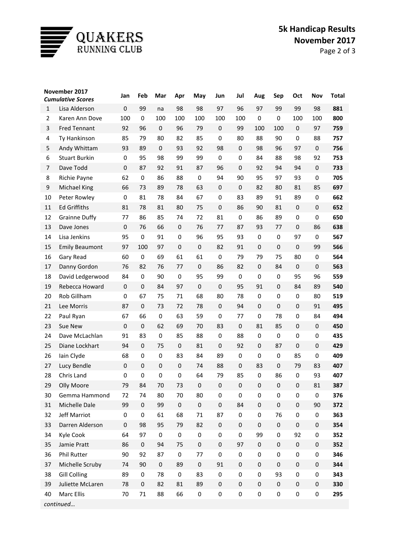

## **5k Handicap Results November 2017**

Page 2 of 3

| November 2017<br><b>Cumulative Scores</b> |                                       | Jan         | Feb              | Mar               | Apr          | May              | Jun              | Jul              | Aug              | Sep              | Oct              | Nov                         | <b>Total</b> |
|-------------------------------------------|---------------------------------------|-------------|------------------|-------------------|--------------|------------------|------------------|------------------|------------------|------------------|------------------|-----------------------------|--------------|
|                                           |                                       | $\pmb{0}$   | 99               |                   |              | 98               | 97               |                  | 97               | 99               | 99               | 98                          | 881          |
| $\mathbf{1}$<br>$\overline{2}$            | Lisa Alderson                         | 100         | $\mathbf 0$      | na                | 98           | 100              | 100              | 96<br>100        | $\mathbf 0$      | $\mathbf 0$      | 100              |                             | 800          |
| 3                                         | Karen Ann Dove<br><b>Fred Tennant</b> | 92          | 96               | 100<br>$\pmb{0}$  | 100<br>96    | 79               | $\pmb{0}$        | 99               | 100              | 100              | $\pmb{0}$        | 100<br>97                   | 759          |
|                                           | Ty Hankinson                          |             |                  |                   |              | 85               | 0                |                  | 88               |                  |                  |                             |              |
| 4                                         |                                       | 85          | 79               | 80<br>$\mathbf 0$ | 82           |                  |                  | 80               | 98               | 90               | $\bf{0}$         | 88<br>$\mathbf{0}$          | 757          |
| 5                                         | Andy Whittam                          | 93          | 89               |                   | 93           | 92               | 98               | $\pmb{0}$        |                  | 96               | 97               |                             | 756          |
| 6                                         | <b>Stuart Burkin</b>                  | 0           | 95               | 98                | 99           | 99               | $\mathbf 0$      | 0                | 84               | 88               | 98               | 92                          | 753          |
| $\overline{7}$                            | Dave Todd                             | $\mathbf 0$ | 87               | 92<br>86          | 91           | 87               | 96<br>94         | $\pmb{0}$        | 92<br>95         | 94               | 94               | $\mathbf{0}$<br>$\mathbf 0$ | 733<br>705   |
| 8                                         | Richie Payne                          | 62          | 0                |                   | 88           | $\bf{0}$         |                  | 90               |                  | 97               | 93               |                             |              |
| 9                                         | Michael King                          | 66          | 73               | 89                | 78           | 63               | $\mathbf 0$      | $\pmb{0}$        | 82               | 80               | 81               | 85                          | 697          |
| 10                                        | Peter Rowley                          | 0           | 81               | 78                | 84           | 67               | $\mathbf 0$      | 83               | 89               | 91               | 89               | $\mathbf 0$                 | 662          |
| 11                                        | <b>Ed Griffiths</b>                   | 81          | 78               | 81                | 80           | 75               | $\mathbf 0$      | 86               | 90               | 81               | $\pmb{0}$        | $\mathbf 0$                 | 652          |
| 12                                        | <b>Grainne Duffy</b>                  | 77          | 86               | 85                | 74           | 72               | 81               | 0                | 86               | 89               | $\bf{0}$         | 0                           | 650          |
| 13                                        | Dave Jones                            | $\mathbf 0$ | 76               | 66                | $\mathbf 0$  | 76               | 77               | 87               | 93               | 77               | $\pmb{0}$        | 86                          | 638          |
| 14                                        | Lisa Jenkins                          | 95          | $\mathbf 0$      | 91                | $\mathbf 0$  | 96               | 95               | 93               | $\mathbf 0$      | $\mathbf 0$      | 97               | $\mathbf 0$                 | 567          |
| 15                                        | <b>Emily Beaumont</b>                 | 97          | 100              | 97                | $\mathbf 0$  | $\pmb{0}$        | 82               | 91               | $\mathbf 0$      | $\pmb{0}$        | $\pmb{0}$        | 99                          | 566          |
| 16                                        | Gary Read                             | 60          | $\boldsymbol{0}$ | 69                | 61           | 61               | $\mathbf 0$      | 79               | 79               | 75               | 80               | $\mathbf 0$                 | 564          |
| 17                                        | Danny Gordon                          | 76          | 82               | 76                | 77           | $\pmb{0}$        | 86               | 82               | $\mathbf 0$      | 84               | $\pmb{0}$        | $\mathbf 0$                 | 563          |
| 18                                        | David Ledgerwood                      | 84          | $\mathbf 0$      | 90                | $\mathbf 0$  | 95               | 99               | 0                | $\mathbf 0$      | 0                | 95               | 96                          | 559          |
| 19                                        | Rebecca Howard                        | $\mathbf 0$ | $\pmb{0}$        | 84                | 97           | $\mathbf 0$      | $\boldsymbol{0}$ | 95               | 91               | $\mathbf 0$      | 84               | 89                          | 540          |
| 20                                        | Rob Gillham                           | $\pmb{0}$   | 67               | 75                | 71           | 68               | 80               | 78               | $\mathbf 0$      | 0                | $\bf{0}$         | 80                          | 519          |
| 21                                        | Lee Morris                            | 87          | $\pmb{0}$        | 73                | 72           | 78               | $\mathbf 0$      | 94               | $\mathbf 0$      | $\mathbf 0$      | $\pmb{0}$        | 91                          | 495          |
| 22                                        | Paul Ryan                             | 67          | 66               | 0                 | 63           | 59               | $\mathbf 0$      | 77               | $\mathbf 0$      | 78               | $\bf{0}$         | 84                          | 494          |
| 23                                        | Sue New                               | $\pmb{0}$   | $\pmb{0}$        | 62                | 69           | 70               | 83               | $\pmb{0}$        | 81               | 85               | $\pmb{0}$        | $\pmb{0}$                   | 450          |
| 24                                        | Dave McLachlan                        | 91          | 83               | $\pmb{0}$         | 85           | 88               | $\boldsymbol{0}$ | 88               | $\mathbf 0$      | 0                | $\bf{0}$         | 0                           | 435          |
| 25                                        | Diane Lockhart                        | 94          | $\pmb{0}$        | 75                | $\mathbf{0}$ | 81               | $\mathbf 0$      | 92               | $\mathbf 0$      | 87               | $\pmb{0}$        | $\mathbf 0$                 | 429          |
| 26                                        | Iain Clyde                            | 68          | $\mathbf 0$      | 0                 | 83           | 84               | 89               | 0                | $\mathbf 0$      | 0                | 85               | $\mathbf 0$                 | 409          |
| 27                                        | Lucy Bendle                           | $\mathbf 0$ | $\pmb{0}$        | $\pmb{0}$         | $\mathbf 0$  | 74               | 88               | $\pmb{0}$        | 83               | $\pmb{0}$        | 79               | 83                          | 407          |
| 28                                        | Chris Land                            | $\pmb{0}$   | $\mathbf 0$      | 0                 | $\mathbf 0$  | 64               | 79               | 85               | $\mathbf 0$      | 86               | $\boldsymbol{0}$ | 93                          | 407          |
| 29                                        | Olly Moore                            | 79          | 84               | 70                | 73           | $\boldsymbol{0}$ | $\boldsymbol{0}$ | $\pmb{0}$        | $\boldsymbol{0}$ | $\boldsymbol{0}$ | $\boldsymbol{0}$ | 81                          | 387          |
| 30                                        | Gemma Hammond                         | 72          | 74               | 80                | 70           | 80               | 0                | $\pmb{0}$        | 0                | 0                | $\pmb{0}$        | 0                           | 376          |
| 31                                        | Michelle Dale                         | 99          | $\mathbf 0$      | 99                | $\pmb{0}$    | $\pmb{0}$        | $\boldsymbol{0}$ | 84               | $\boldsymbol{0}$ | $\pmb{0}$        | $\pmb{0}$        | 90                          | 372          |
| 32                                        | Jeff Marriot                          | 0           | 0                | 61                | 68           | $71\,$           | 87               | $\pmb{0}$        | $\pmb{0}$        | 76               | $\pmb{0}$        | 0                           | 363          |
| 33                                        | Darren Alderson                       | $\pmb{0}$   | 98               | 95                | 79           | 82               | $\pmb{0}$        | $\pmb{0}$        | $\pmb{0}$        | $\pmb{0}$        | $\boldsymbol{0}$ | $\boldsymbol{0}$            | 354          |
| 34                                        | Kyle Cook                             | 64          | 97               | $\pmb{0}$         | $\pmb{0}$    | $\pmb{0}$        | $\pmb{0}$        | 0                | 99               | $\pmb{0}$        | 92               | 0                           | 352          |
| 35                                        | Jamie Pratt                           | 86          | 0                | 94                | 75           | $\boldsymbol{0}$ | $\pmb{0}$        | 97               | $\boldsymbol{0}$ | $\pmb{0}$        | $\boldsymbol{0}$ | $\boldsymbol{0}$            | 352          |
| 36                                        | Phil Rutter                           | 90          | 92               | 87                | 0            | 77               | $\pmb{0}$        | $\pmb{0}$        | $\pmb{0}$        | $\pmb{0}$        | $\pmb{0}$        | 0                           | 346          |
| 37                                        | Michelle Scruby                       | 74          | 90               | $\pmb{0}$         | 89           | $\pmb{0}$        | 91               | $\boldsymbol{0}$ | $\boldsymbol{0}$ | $\pmb{0}$        | $\boldsymbol{0}$ | $\pmb{0}$                   | 344          |
| 38                                        | <b>Gill Colling</b>                   | 89          | 0                | 78                | $\pmb{0}$    | 83               | $\pmb{0}$        | 0                | 0                | 93               | 0                | 0                           | 343          |
| 39                                        | Juliette McLaren                      | 78          | $\pmb{0}$        | 82                | 81           | 89               | $\pmb{0}$        | $\boldsymbol{0}$ | $\pmb{0}$        | $\pmb{0}$        | $\boldsymbol{0}$ | $\boldsymbol{0}$            | 330          |
| 40                                        | Marc Ellis                            | 70          | $71\,$           | 88                | 66           | $\pmb{0}$        | $\pmb{0}$        | $\pmb{0}$        | $\pmb{0}$        | $\pmb{0}$        | $\pmb{0}$        | $\pmb{0}$                   | 295          |
|                                           | continued                             |             |                  |                   |              |                  |                  |                  |                  |                  |                  |                             |              |